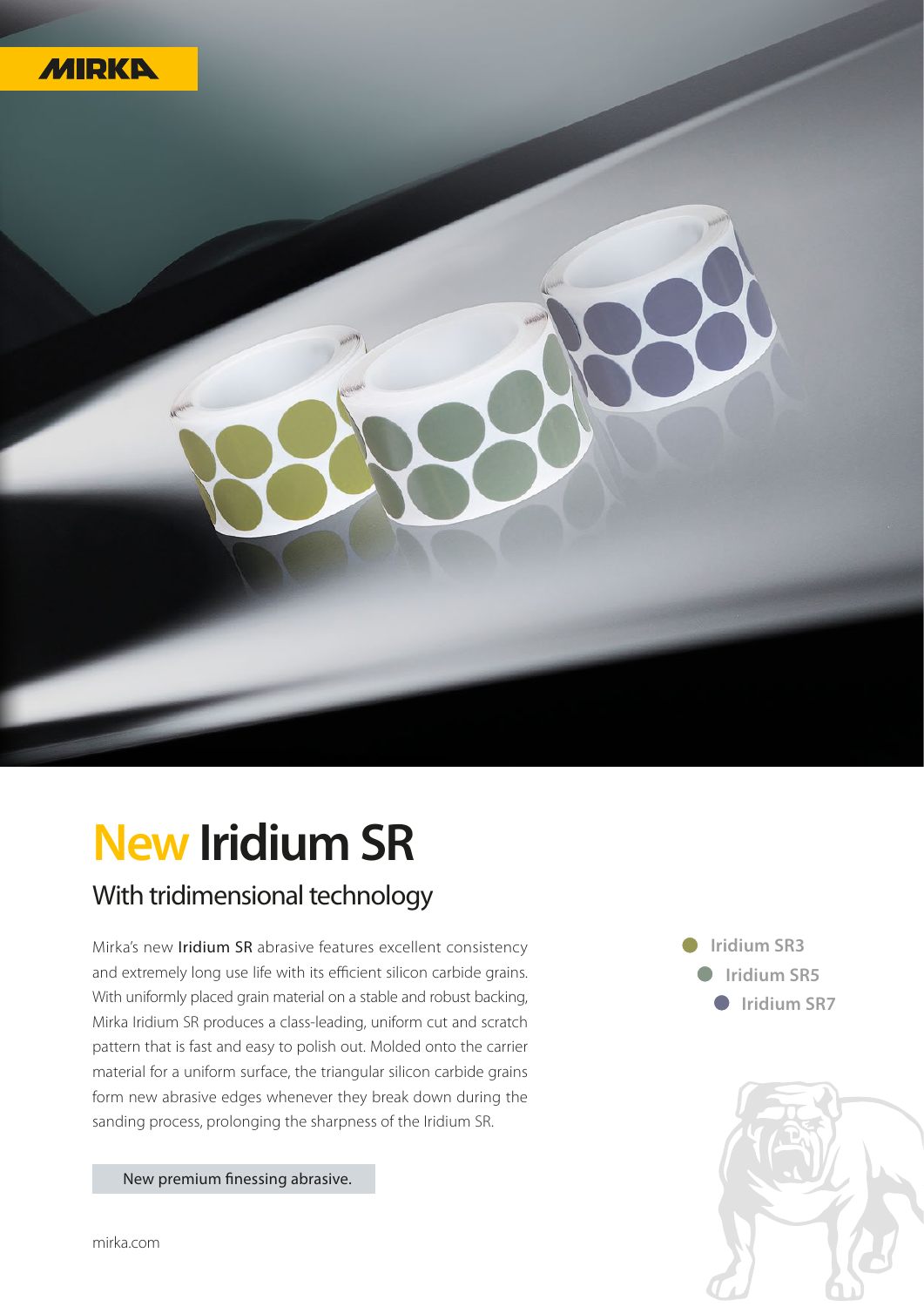

## **New Iridium SR** With tridimensional technology

Mirka's new Iridium SR abrasive features excellent consistency and extremely long use life with its efficient silicon carbide grains. With uniformly placed grain material on a stable and robust backing, Mirka Iridium SR produces a class-leading, uniform cut and scratch pattern that is fast and easy to polish out. Molded onto the carrier material for a uniform surface, the triangular silicon carbide grains form new abrasive edges whenever they break down during the sanding process, prolonging the sharpness of the Iridium SR.

**Iridium SR3 Iridium SR5 Iridium SR7** 



New premium finessing abrasive.

mirka.com